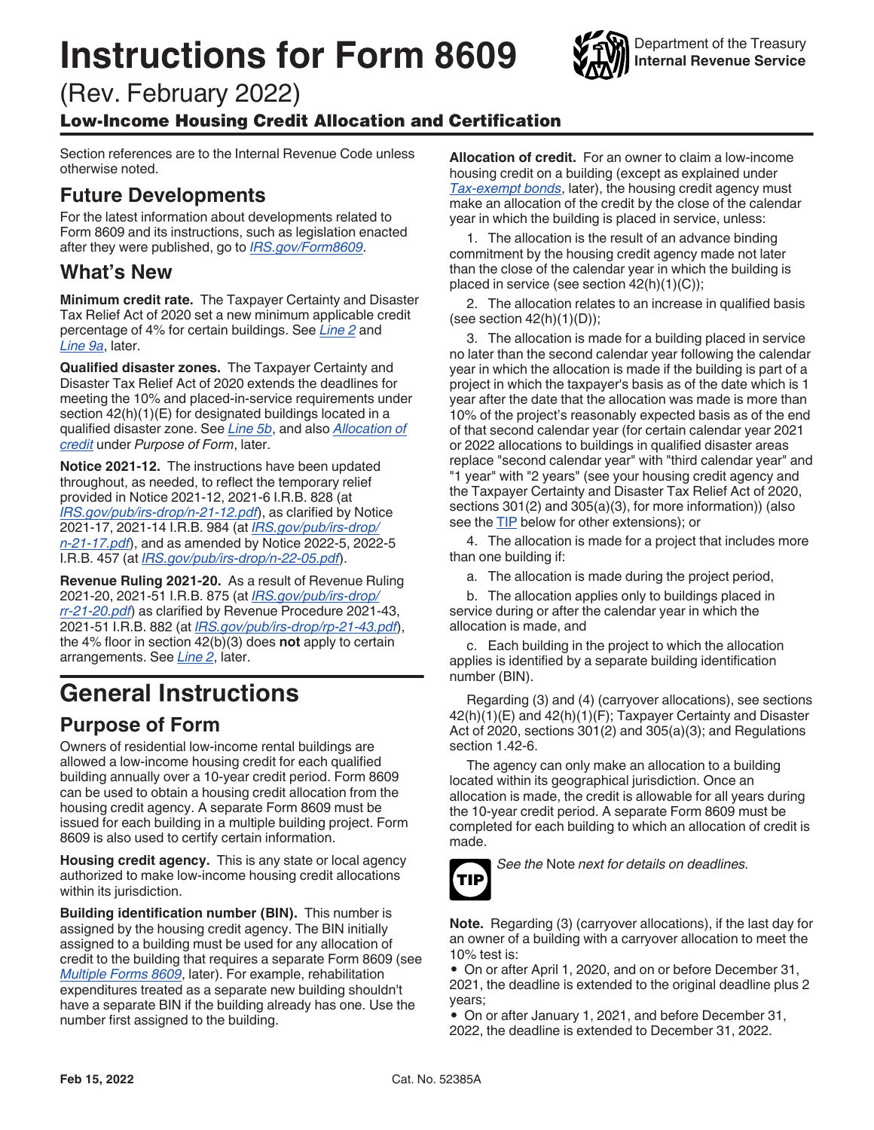# <span id="page-0-0"></span>**Instructions for Form 8609**

(Rev. February 2022)

#### Low-Income Housing Credit Allocation and Certification

Section references are to the Internal Revenue Code unless otherwise noted.

### **Future Developments**

For the latest information about developments related to Form 8609 and its instructions, such as legislation enacted after they were published, go to *[IRS.gov/Form8609](https://www.irs.gov/form8609)*.

#### **What's New**

**Minimum credit rate.** The Taxpayer Certainty and Disaster Tax Relief Act of 2020 set a new minimum applicable credit percentage of 4% for certain buildings. See *[Line 2](#page-2-0)* and *[Line 9a](#page-4-0)*, later.

**Qualified disaster zones.** The Taxpayer Certainty and Disaster Tax Relief Act of 2020 extends the deadlines for meeting the 10% and placed-in-service requirements under section  $42(h)(1)(E)$  for designated buildings located in a qualified disaster zone. See *[Line 5b](#page-3-0)*, and also *Allocation of credit* under *Purpose of Form*, later.

**Notice 2021-12.** The instructions have been updated throughout, as needed, to reflect the temporary relief provided in Notice 2021-12, 2021-6 I.R.B. 828 (at *[IRS.gov/pub/irs-drop/n-21-12.pdf](https://www.irs.gov/pub/irs-drop/n-21-12.pdf)*), as clarified by Notice 2021-17, 2021-14 I.R.B. 984 (at *[IRS.gov/pub/irs-drop/](https://www.irs.gov/pub/irs-drop/n-21-17.pdf) [n-21-17.pdf](https://www.irs.gov/pub/irs-drop/n-21-17.pdf)*), and as amended by Notice 2022-5, 2022-5 I.R.B. 457 (at *[IRS.gov/pub/irs-drop/n-22-05.pdf](https://www.irs.gov/pub/irs-drop/n-22-05.pdf)*).

**Revenue Ruling 2021-20.** As a result of Revenue Ruling 2021-20, 2021-51 I.R.B. 875 (at *[IRS.gov/pub/irs-drop/](https://www.irs.gov/pub/irs-drop/rr-21-20.pdf) [rr-21-20.pdf](https://www.irs.gov/pub/irs-drop/rr-21-20.pdf)*) as clarified by Revenue Procedure 2021-43, 2021-51 I.R.B. 882 (at *[IRS.gov/pub/irs-drop/rp-21-43.pdf](https://www.irs.gov/pub/irs-drop/rp-21-43.pdf)*), the 4% floor in section 42(b)(3) does **not** apply to certain arrangements. See *[Line 2](#page-2-0)*, later.

## **General Instructions**

#### **Purpose of Form**

Owners of residential low-income rental buildings are allowed a low-income housing credit for each qualified building annually over a 10-year credit period. Form 8609 can be used to obtain a housing credit allocation from the housing credit agency. A separate Form 8609 must be issued for each building in a multiple building project. Form 8609 is also used to certify certain information.

**Housing credit agency.** This is any state or local agency authorized to make low-income housing credit allocations within its jurisdiction.

**Building identification number (BIN).** This number is assigned by the housing credit agency. The BIN initially assigned to a building must be used for any allocation of credit to the building that requires a separate Form 8609 (see *[Multiple Forms 8609](#page-1-0)*, later). For example, rehabilitation expenditures treated as a separate new building shouldn't have a separate BIN if the building already has one. Use the number first assigned to the building.

**Allocation of credit.** For an owner to claim a low-income housing credit on a building (except as explained under *[Tax-exempt bonds](#page-1-0)*, later), the housing credit agency must make an allocation of the credit by the close of the calendar year in which the building is placed in service, unless:

1. The allocation is the result of an advance binding commitment by the housing credit agency made not later than the close of the calendar year in which the building is placed in service (see section 42(h)(1)(C));

2. The allocation relates to an increase in qualified basis (see section  $42(h)(1)(D)$ );

3. The allocation is made for a building placed in service no later than the second calendar year following the calendar year in which the allocation is made if the building is part of a project in which the taxpayer's basis as of the date which is 1 year after the date that the allocation was made is more than 10% of the project's reasonably expected basis as of the end of that second calendar year (for certain calendar year 2021 or 2022 allocations to buildings in qualified disaster areas replace "second calendar year" with "third calendar year" and "1 year" with "2 years" (see your housing credit agency and the Taxpayer Certainty and Disaster Tax Relief Act of 2020, sections 301(2) and 305(a)(3), for more information)) (also see the TIP below for other extensions); or

4. The allocation is made for a project that includes more than one building if:

a. The allocation is made during the project period,

b. The allocation applies only to buildings placed in service during or after the calendar year in which the allocation is made, and

c. Each building in the project to which the allocation applies is identified by a separate building identification number (BIN).

Regarding (3) and (4) (carryover allocations), see sections 42(h)(1)(E) and 42(h)(1)(F); Taxpayer Certainty and Disaster Act of 2020, sections 301(2) and 305(a)(3); and Regulations section 1.42-6.

The agency can only make an allocation to a building located within its geographical jurisdiction. Once an allocation is made, the credit is allowable for all years during the 10-year credit period. A separate Form 8609 must be completed for each building to which an allocation of credit is made.



*See the* Note *next for details on deadlines.*

**Note.** Regarding (3) (carryover allocations), if the last day for an owner of a building with a carryover allocation to meet the 10% test is:

• On or after April 1, 2020, and on or before December 31, 2021, the deadline is extended to the original deadline plus 2 years;

• On or after January 1, 2021, and before December 31, 2022, the deadline is extended to December 31, 2022.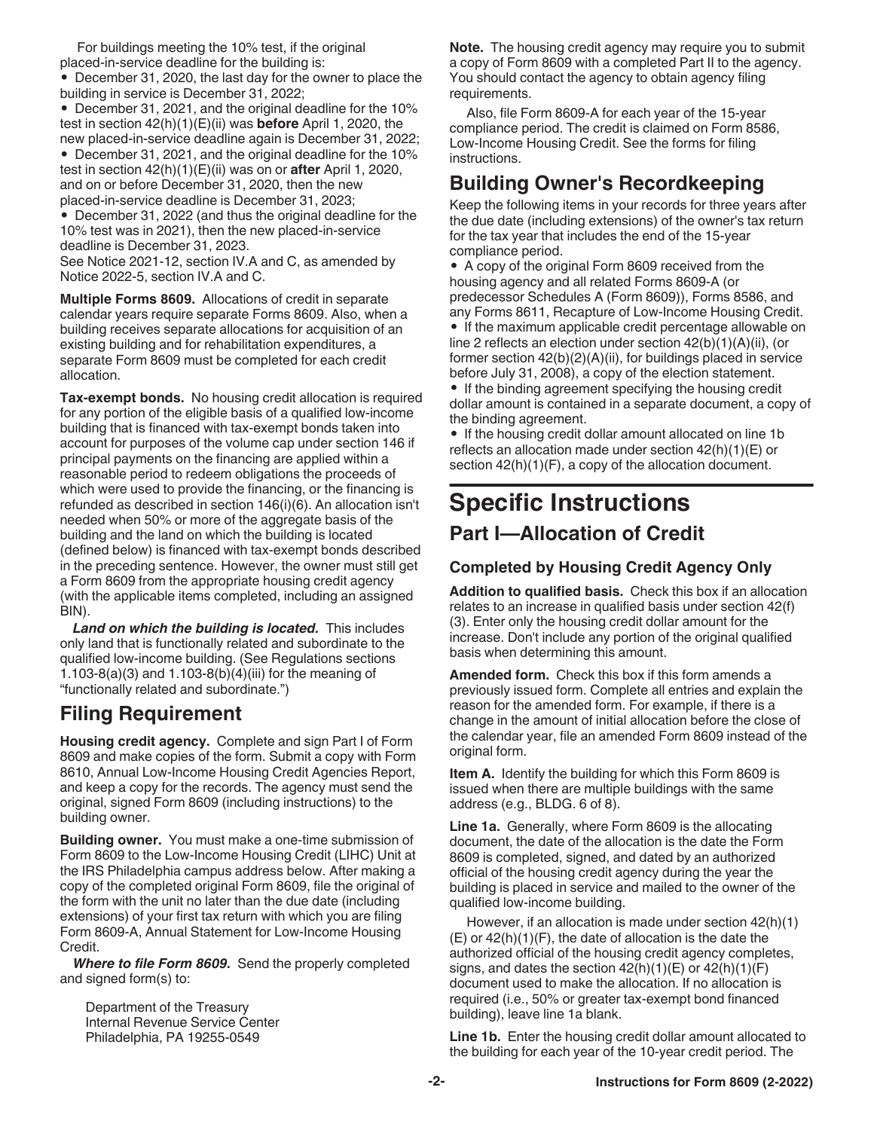<span id="page-1-0"></span>For buildings meeting the 10% test, if the original placed-in-service deadline for the building is:

• December 31, 2020, the last day for the owner to place the building in service is December 31, 2022;

• December 31, 2021, and the original deadline for the 10% test in section 42(h)(1)(E)(ii) was **before** April 1, 2020, the new placed-in-service deadline again is December 31, 2022;

• December 31, 2021, and the original deadline for the 10% test in section 42(h)(1)(E)(ii) was on or **after** April 1, 2020, and on or before December 31, 2020, then the new placed-in-service deadline is December 31, 2023;

• December 31, 2022 (and thus the original deadline for the 10% test was in 2021), then the new placed-in-service deadline is December 31, 2023.

See Notice 2021-12, section IV.A and C, as amended by Notice 2022-5, section IV.A and C.

**Multiple Forms 8609.** Allocations of credit in separate calendar years require separate Forms 8609. Also, when a building receives separate allocations for acquisition of an existing building and for rehabilitation expenditures, a separate Form 8609 must be completed for each credit allocation.

**Tax-exempt bonds.** No housing credit allocation is required for any portion of the eligible basis of a qualified low-income building that is financed with tax-exempt bonds taken into account for purposes of the volume cap under section 146 if principal payments on the financing are applied within a reasonable period to redeem obligations the proceeds of which were used to provide the financing, or the financing is refunded as described in section 146(i)(6). An allocation isn't needed when 50% or more of the aggregate basis of the building and the land on which the building is located (defined below) is financed with tax-exempt bonds described in the preceding sentence. However, the owner must still get a Form 8609 from the appropriate housing credit agency (with the applicable items completed, including an assigned BIN).

*Land on which the building is located.* This includes only land that is functionally related and subordinate to the qualified low-income building. (See Regulations sections 1.103-8(a)(3) and 1.103-8(b)(4)(iii) for the meaning of "functionally related and subordinate.")

#### **Filing Requirement**

**Housing credit agency.** Complete and sign Part I of Form 8609 and make copies of the form. Submit a copy with Form 8610, Annual Low-Income Housing Credit Agencies Report, and keep a copy for the records. The agency must send the original, signed Form 8609 (including instructions) to the building owner.

**Building owner.** You must make a one-time submission of Form 8609 to the Low-Income Housing Credit (LIHC) Unit at the IRS Philadelphia campus address below. After making a copy of the completed original Form 8609, file the original of the form with the unit no later than the due date (including extensions) of your first tax return with which you are filing Form 8609-A, Annual Statement for Low-Income Housing Credit.

*Where to file Form 8609.* Send the properly completed and signed form(s) to:

Department of the Treasury Internal Revenue Service Center Philadelphia, PA 19255-0549

**Note.** The housing credit agency may require you to submit a copy of Form 8609 with a completed Part II to the agency. You should contact the agency to obtain agency filing requirements.

Also, file Form 8609-A for each year of the 15-year compliance period. The credit is claimed on Form 8586, Low-Income Housing Credit. See the forms for filing instructions.

### **Building Owner's Recordkeeping**

Keep the following items in your records for three years after the due date (including extensions) of the owner's tax return for the tax year that includes the end of the 15-year compliance period.

• A copy of the original Form 8609 received from the housing agency and all related Forms 8609-A (or predecessor Schedules A (Form 8609)), Forms 8586, and any Forms 8611, Recapture of Low-Income Housing Credit.

• If the maximum applicable credit percentage allowable on line 2 reflects an election under section 42(b)(1)(A)(ii), (or former section  $42(b)(2)(A)(ii)$ , for buildings placed in service before July 31, 2008), a copy of the election statement.

• If the binding agreement specifying the housing credit dollar amount is contained in a separate document, a copy of the binding agreement.

• If the housing credit dollar amount allocated on line 1b reflects an allocation made under section 42(h)(1)(E) or section  $42(h)(1)(F)$ , a copy of the allocation document.

## **Specific Instructions**

#### **Part I—Allocation of Credit**

#### **Completed by Housing Credit Agency Only**

**Addition to qualified basis.** Check this box if an allocation relates to an increase in qualified basis under section 42(f) (3). Enter only the housing credit dollar amount for the increase. Don't include any portion of the original qualified basis when determining this amount.

**Amended form.** Check this box if this form amends a previously issued form. Complete all entries and explain the reason for the amended form. For example, if there is a change in the amount of initial allocation before the close of the calendar year, file an amended Form 8609 instead of the original form.

**Item A.** Identify the building for which this Form 8609 is issued when there are multiple buildings with the same address (e.g., BLDG. 6 of 8).

**Line 1a.** Generally, where Form 8609 is the allocating document, the date of the allocation is the date the Form 8609 is completed, signed, and dated by an authorized official of the housing credit agency during the year the building is placed in service and mailed to the owner of the qualified low-income building.

However, if an allocation is made under section 42(h)(1)  $(E)$  or  $42(h)(1)(F)$ , the date of allocation is the date the authorized official of the housing credit agency completes, signs, and dates the section  $42(h)(1)(E)$  or  $42(h)(1)(F)$ document used to make the allocation. If no allocation is required (i.e., 50% or greater tax-exempt bond financed building), leave line 1a blank.

Line 1b. Enter the housing credit dollar amount allocated to the building for each year of the 10-year credit period. The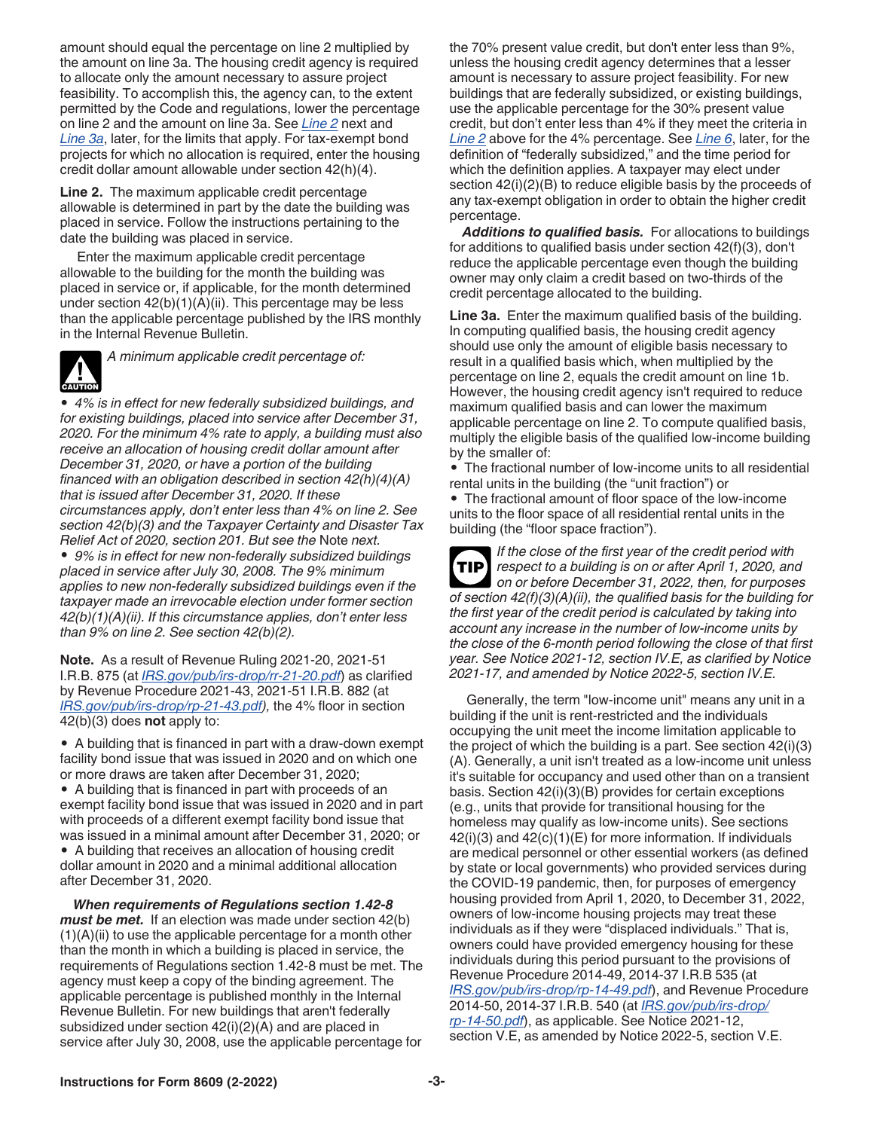<span id="page-2-0"></span>amount should equal the percentage on line 2 multiplied by the amount on line 3a. The housing credit agency is required to allocate only the amount necessary to assure project feasibility. To accomplish this, the agency can, to the extent permitted by the Code and regulations, lower the percentage on line 2 and the amount on line 3a. See *Line 2* next and *Line 3a*, later, for the limits that apply. For tax-exempt bond projects for which no allocation is required, enter the housing credit dollar amount allowable under section 42(h)(4).

**Line 2.** The maximum applicable credit percentage allowable is determined in part by the date the building was placed in service. Follow the instructions pertaining to the date the building was placed in service.

Enter the maximum applicable credit percentage allowable to the building for the month the building was placed in service or, if applicable, for the month determined under section  $42(b)(1)(A)(ii)$ . This percentage may be less than the applicable percentage published by the IRS monthly in the Internal Revenue Bulletin.



*A minimum applicable credit percentage of:*

*• 4% is in effect for new federally subsidized buildings, and for existing buildings, placed into service after December 31, 2020. For the minimum 4% rate to apply, a building must also receive an allocation of housing credit dollar amount after December 31, 2020, or have a portion of the building financed with an obligation described in section 42(h)(4)(A) that is issued after December 31, 2020. If these circumstances apply, don't enter less than 4% on line 2. See section 42(b)(3) and the Taxpayer Certainty and Disaster Tax Relief Act of 2020, section 201. But see the* Note *next. • 9% is in effect for new non-federally subsidized buildings placed in service after July 30, 2008. The 9% minimum applies to new non-federally subsidized buildings even if the taxpayer made an irrevocable election under former section 42(b)(1)(A)(ii). If this circumstance applies, don't enter less than 9% on line 2. See section 42(b)(2).*

**Note.** As a result of Revenue Ruling 2021-20, 2021-51 I.R.B. 875 (at *[IRS.gov/pub/irs-drop/rr-21-20.pdf](https://www.irs.gov/pub/irs-drop/rr-21-20.pdf)*) as clarified by Revenue Procedure 2021-43, 2021-51 I.R.B. 882 (at *[IRS.gov/pub/irs-drop/rp-21-43.pdf\)](https://www.irs.gov/pub/irs-drop/rp-21-43.pdf),* the 4% floor in section 42(b)(3) does **not** apply to:

*•* A building that is financed in part with a draw-down exempt facility bond issue that was issued in 2020 and on which one or more draws are taken after December 31, 2020;

*•* A building that is financed in part with proceeds of an exempt facility bond issue that was issued in 2020 and in part with proceeds of a different exempt facility bond issue that was issued in a minimal amount after December 31, 2020; or *•* A building that receives an allocation of housing credit dollar amount in 2020 and a minimal additional allocation after December 31, 2020.

*When requirements of Regulations section 1.42-8 must be met.* If an election was made under section 42(b)  $(1)(A)(ii)$  to use the applicable percentage for a month other than the month in which a building is placed in service, the requirements of Regulations section 1.42-8 must be met. The agency must keep a copy of the binding agreement. The applicable percentage is published monthly in the Internal Revenue Bulletin. For new buildings that aren't federally subsidized under section 42(i)(2)(A) and are placed in service after July 30, 2008, use the applicable percentage for

the 70% present value credit, but don't enter less than 9%, unless the housing credit agency determines that a lesser amount is necessary to assure project feasibility. For new buildings that are federally subsidized, or existing buildings, use the applicable percentage for the 30% present value credit, but don't enter less than 4% if they meet the criteria in *Line 2* above for the 4% percentage. See *[Line 6](#page-3-0)*, later, for the definition of "federally subsidized," and the time period for which the definition applies. A taxpayer may elect under section 42(i)(2)(B) to reduce eligible basis by the proceeds of any tax-exempt obligation in order to obtain the higher credit percentage.

*Additions to qualified basis.* For allocations to buildings for additions to qualified basis under section 42(f)(3), don't reduce the applicable percentage even though the building owner may only claim a credit based on two-thirds of the credit percentage allocated to the building.

**Line 3a.** Enter the maximum qualified basis of the building. In computing qualified basis, the housing credit agency should use only the amount of eligible basis necessary to result in a qualified basis which, when multiplied by the percentage on line 2, equals the credit amount on line 1b. However, the housing credit agency isn't required to reduce maximum qualified basis and can lower the maximum applicable percentage on line 2. To compute qualified basis, multiply the eligible basis of the qualified low-income building by the smaller of:

• The fractional number of low-income units to all residential rental units in the building (the "unit fraction") or

• The fractional amount of floor space of the low-income units to the floor space of all residential rental units in the building (the "floor space fraction").

*If the close of the first year of the credit period with respect to a building is on or after April 1, 2020, and on or before December 31, 2022, then, for purposes of section 42(f)(3)(A)(ii), the qualified basis for the building for the first year of the credit period is calculated by taking into account any increase in the number of low-income units by the close of the 6-month period following the close of that first year. See Notice 2021-12, section IV.E, as clarified by Notice 2021-17, and amended by Notice 2022-5, section IV.E.* **TIP**

Generally, the term "low-income unit" means any unit in a building if the unit is rent-restricted and the individuals occupying the unit meet the income limitation applicable to the project of which the building is a part. See section 42(i)(3) (A). Generally, a unit isn't treated as a low-income unit unless it's suitable for occupancy and used other than on a transient basis. Section 42(i)(3)(B) provides for certain exceptions (e.g., units that provide for transitional housing for the homeless may qualify as low-income units). See sections  $42(i)(3)$  and  $42(c)(1)(E)$  for more information. If individuals are medical personnel or other essential workers (as defined by state or local governments) who provided services during the COVID-19 pandemic, then, for purposes of emergency housing provided from April 1, 2020, to December 31, 2022, owners of low-income housing projects may treat these individuals as if they were "displaced individuals." That is, owners could have provided emergency housing for these individuals during this period pursuant to the provisions of Revenue Procedure 2014-49, 2014-37 I.R.B 535 (at *[IRS.gov/pub/irs-drop/rp-14-49.pdf](https://www.irs.gov/pub/irs-drop/rp-14-49.pdf)*), and Revenue Procedure 2014-50, 2014-37 I.R.B. 540 (at *[IRS.gov/pub/irs-drop/](https://www.irs.gov/pub/irs-drop/rp-14-50.pdf) [rp-14-50.pdf](https://www.irs.gov/pub/irs-drop/rp-14-50.pdf)*), as applicable. See Notice 2021-12, section V.E, as amended by Notice 2022-5, section V.E.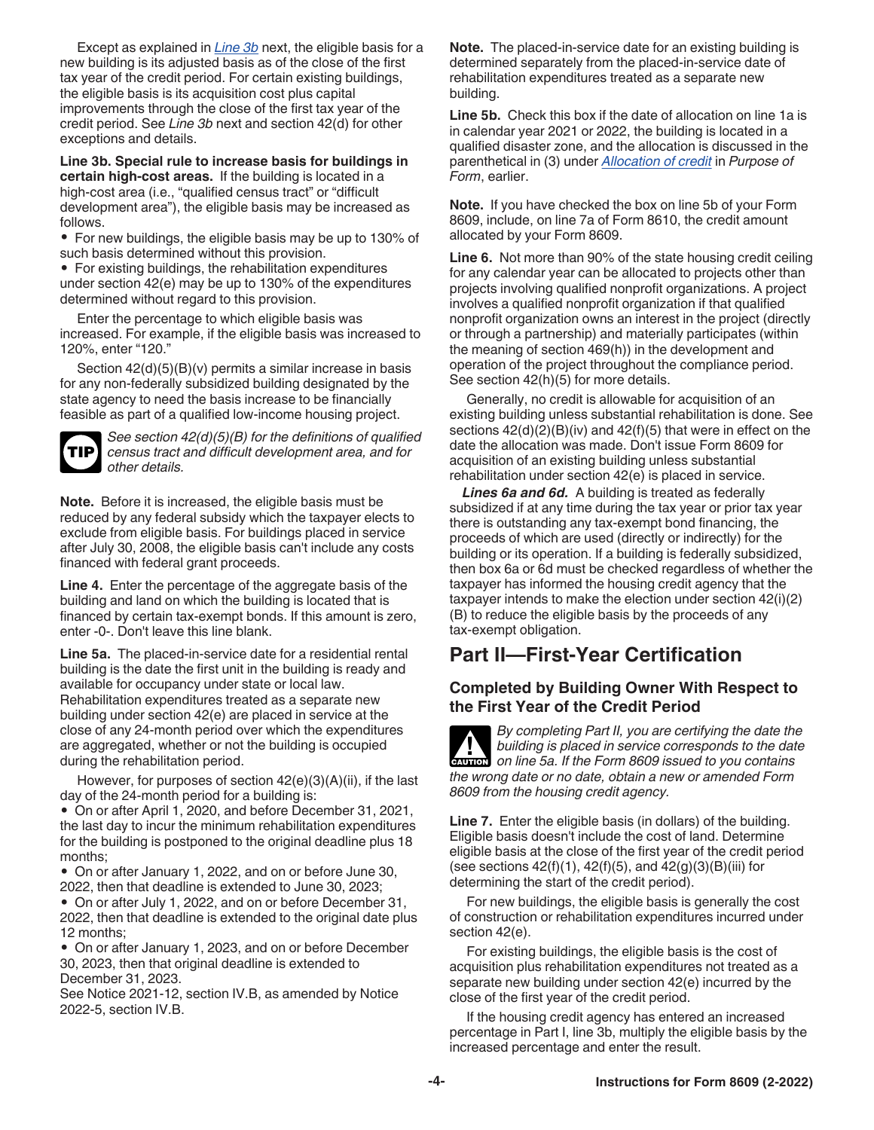<span id="page-3-0"></span>Except as explained in *Line 3b* next, the eligible basis for a new building is its adjusted basis as of the close of the first tax year of the credit period. For certain existing buildings, the eligible basis is its acquisition cost plus capital improvements through the close of the first tax year of the credit period. See *Line 3b* next and section 42(d) for other exceptions and details.

**Line 3b. Special rule to increase basis for buildings in certain high-cost areas.** If the building is located in a high-cost area (i.e., "qualified census tract" or "difficult" development area"), the eligible basis may be increased as follows.

• For new buildings, the eligible basis may be up to 130% of such basis determined without this provision.

• For existing buildings, the rehabilitation expenditures under section 42(e) may be up to 130% of the expenditures determined without regard to this provision.

Enter the percentage to which eligible basis was increased. For example, if the eligible basis was increased to 120%, enter "120."

Section 42(d)(5)(B)(v) permits a similar increase in basis for any non-federally subsidized building designated by the state agency to need the basis increase to be financially feasible as part of a qualified low-income housing project.

**TIP**

*See section 42(d)(5)(B) for the definitions of qualified census tract and difficult development area, and for other details.*

**Note.** Before it is increased, the eligible basis must be reduced by any federal subsidy which the taxpayer elects to exclude from eligible basis. For buildings placed in service after July 30, 2008, the eligible basis can't include any costs financed with federal grant proceeds.

**Line 4.** Enter the percentage of the aggregate basis of the building and land on which the building is located that is financed by certain tax-exempt bonds. If this amount is zero, enter -0-. Don't leave this line blank.

**Line 5a.** The placed-in-service date for a residential rental building is the date the first unit in the building is ready and available for occupancy under state or local law. Rehabilitation expenditures treated as a separate new building under section 42(e) are placed in service at the close of any 24-month period over which the expenditures are aggregated, whether or not the building is occupied during the rehabilitation period.

However, for purposes of section  $42(e)(3)(A)(ii)$ , if the last day of the 24-month period for a building is:

• On or after April 1, 2020, and before December 31, 2021, the last day to incur the minimum rehabilitation expenditures for the building is postponed to the original deadline plus 18 months;

• On or after January 1, 2022, and on or before June 30, 2022, then that deadline is extended to June 30, 2023;

• On or after July 1, 2022, and on or before December 31, 2022, then that deadline is extended to the original date plus 12 months;

• On or after January 1, 2023, and on or before December 30, 2023, then that original deadline is extended to December 31, 2023.

See Notice 2021-12, section IV.B, as amended by Notice 2022-5, section IV.B.

**Note.** The placed-in-service date for an existing building is determined separately from the placed-in-service date of rehabilitation expenditures treated as a separate new building.

**Line 5b.** Check this box if the date of allocation on line 1a is in calendar year 2021 or 2022, the building is located in a qualified disaster zone, and the allocation is discussed in the parenthetical in (3) under *[Allocation of credit](#page-0-0)* in *Purpose of Form*, earlier.

**Note.** If you have checked the box on line 5b of your Form 8609, include, on line 7a of Form 8610, the credit amount allocated by your Form 8609.

**Line 6.** Not more than 90% of the state housing credit ceiling for any calendar year can be allocated to projects other than projects involving qualified nonprofit organizations. A project involves a qualified nonprofit organization if that qualified nonprofit organization owns an interest in the project (directly or through a partnership) and materially participates (within the meaning of section 469(h)) in the development and operation of the project throughout the compliance period. See section 42(h)(5) for more details.

Generally, no credit is allowable for acquisition of an existing building unless substantial rehabilitation is done. See sections 42(d)(2)(B)(iv) and 42(f)(5) that were in effect on the date the allocation was made. Don't issue Form 8609 for acquisition of an existing building unless substantial rehabilitation under section 42(e) is placed in service.

*Lines 6a and 6d.* A building is treated as federally subsidized if at any time during the tax year or prior tax year there is outstanding any tax-exempt bond financing, the proceeds of which are used (directly or indirectly) for the building or its operation. If a building is federally subsidized, then box 6a or 6d must be checked regardless of whether the taxpayer has informed the housing credit agency that the taxpayer intends to make the election under section 42(i)(2) (B) to reduce the eligible basis by the proceeds of any tax-exempt obligation.

### **Part II—First-Year Certification**

#### **Completed by Building Owner With Respect to the First Year of the Credit Period**

*By completing Part II, you are certifying the date the building is placed in service corresponds to the date on line 5a. If the Form 8609 issued to you contains the wrong date or no date, obtain a new or amended Form 8609 from the housing credit agency.* **CAUTION !**

**Line 7.** Enter the eligible basis (in dollars) of the building. Eligible basis doesn't include the cost of land. Determine eligible basis at the close of the first year of the credit period (see sections  $42(f)(1)$ ,  $42(f)(5)$ , and  $42(g)(3)(B)(iii)$  for determining the start of the credit period).

For new buildings, the eligible basis is generally the cost of construction or rehabilitation expenditures incurred under section 42(e).

For existing buildings, the eligible basis is the cost of acquisition plus rehabilitation expenditures not treated as a separate new building under section 42(e) incurred by the close of the first year of the credit period.

If the housing credit agency has entered an increased percentage in Part I, line 3b, multiply the eligible basis by the increased percentage and enter the result.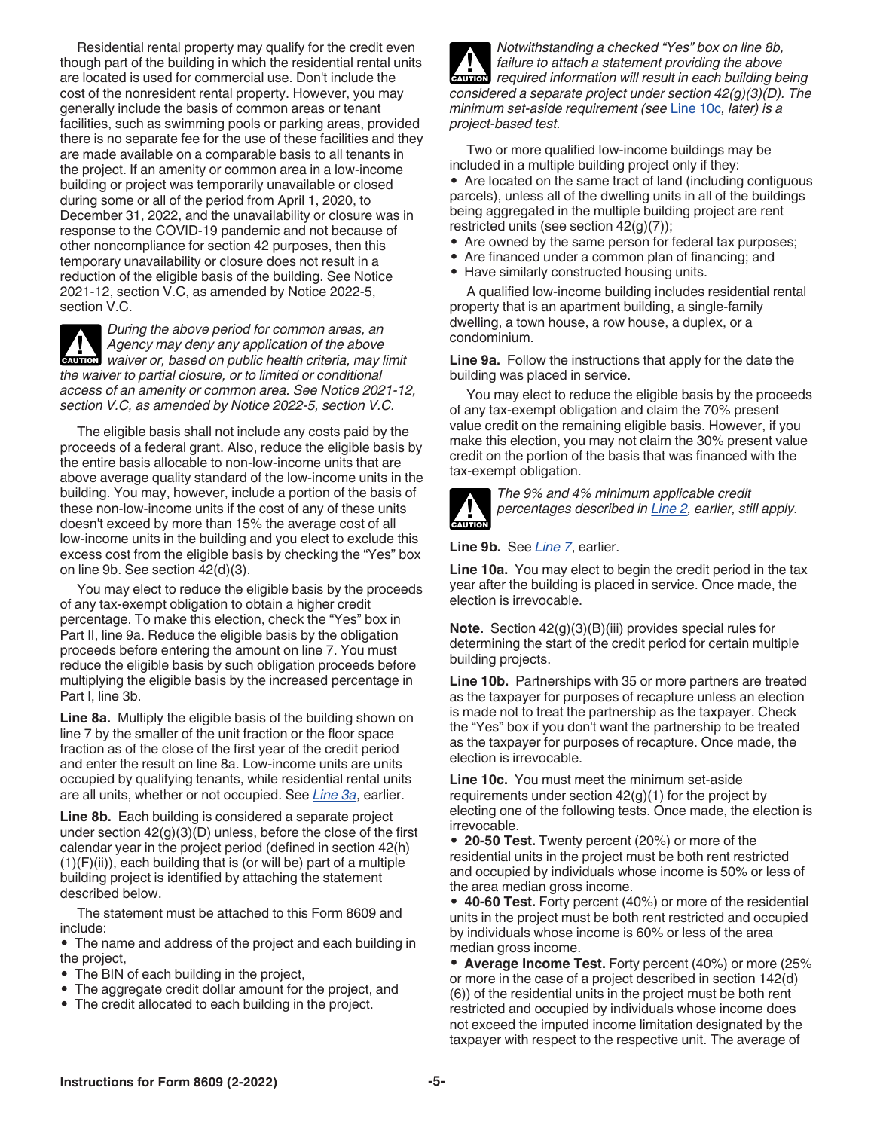<span id="page-4-0"></span>Residential rental property may qualify for the credit even though part of the building in which the residential rental units are located is used for commercial use. Don't include the cost of the nonresident rental property. However, you may generally include the basis of common areas or tenant facilities, such as swimming pools or parking areas, provided there is no separate fee for the use of these facilities and they are made available on a comparable basis to all tenants in the project. If an amenity or common area in a low-income building or project was temporarily unavailable or closed during some or all of the period from April 1, 2020, to December 31, 2022, and the unavailability or closure was in response to the COVID-19 pandemic and not because of other noncompliance for section 42 purposes, then this temporary unavailability or closure does not result in a reduction of the eligible basis of the building. See Notice 2021-12, section V.C, as amended by Notice 2022-5, section V.C.

*During the above period for common areas, an Agency may deny any application of the above Agency may deny any application of the above***<br>** *waiver or, based on public health criteria, may limit the waiver to partial closure, or to limited or conditional access of an amenity or common area. See Notice 2021-12, section V.C, as amended by Notice 2022-5, section V.C.*

The eligible basis shall not include any costs paid by the proceeds of a federal grant. Also, reduce the eligible basis by the entire basis allocable to non-low-income units that are above average quality standard of the low-income units in the building. You may, however, include a portion of the basis of these non-low-income units if the cost of any of these units doesn't exceed by more than 15% the average cost of all low-income units in the building and you elect to exclude this excess cost from the eligible basis by checking the "Yes" box on line 9b. See section 42(d)(3).

You may elect to reduce the eligible basis by the proceeds of any tax-exempt obligation to obtain a higher credit percentage. To make this election, check the "Yes" box in Part II, line 9a. Reduce the eligible basis by the obligation proceeds before entering the amount on line 7. You must reduce the eligible basis by such obligation proceeds before multiplying the eligible basis by the increased percentage in Part I, line 3b.

**Line 8a.** Multiply the eligible basis of the building shown on line 7 by the smaller of the unit fraction or the floor space fraction as of the close of the first year of the credit period and enter the result on line 8a. Low-income units are units occupied by qualifying tenants, while residential rental units are all units, whether or not occupied. See *[Line 3a](#page-2-0)*, earlier.

**Line 8b.** Each building is considered a separate project under section 42(g)(3)(D) unless, before the close of the first calendar year in the project period (defined in section 42(h) (1)(F)(ii)), each building that is (or will be) part of a multiple building project is identified by attaching the statement described below.

The statement must be attached to this Form 8609 and include:

• The name and address of the project and each building in the project,

- The BIN of each building in the project,
- The aggregate credit dollar amount for the project, and
- The credit allocated to each building in the project.

*Notwithstanding a checked "Yes" box on line 8b, failure to attach a statement providing the above required information will result in each building being considered a separate project under section 42(g)(3)(D). The minimum set-aside requirement (see* Line 10c*, later) is a project-based test.* **CAUTION !**

Two or more qualified low-income buildings may be included in a multiple building project only if they:

• Are located on the same tract of land (including contiguous parcels), unless all of the dwelling units in all of the buildings being aggregated in the multiple building project are rent restricted units (see section 42(g)(7));

- Are owned by the same person for federal tax purposes;
- Are financed under a common plan of financing; and
- Have similarly constructed housing units.

A qualified low-income building includes residential rental property that is an apartment building, a single-family dwelling, a town house, a row house, a duplex, or a condominium.

**Line 9a.** Follow the instructions that apply for the date the building was placed in service.

You may elect to reduce the eligible basis by the proceeds of any tax-exempt obligation and claim the 70% present value credit on the remaining eligible basis. However, if you make this election, you may not claim the 30% present value credit on the portion of the basis that was financed with the tax-exempt obligation.



*The 9% and 4% minimum applicable credit percentages described in [Line 2,](#page-2-0) earlier, still apply.*

**Line 9b.** See *[Line 7](#page-3-0)*, earlier.

**Line 10a.** You may elect to begin the credit period in the tax year after the building is placed in service. Once made, the election is irrevocable.

**Note.** Section 42(g)(3)(B)(iii) provides special rules for determining the start of the credit period for certain multiple building projects.

**Line 10b.** Partnerships with 35 or more partners are treated as the taxpayer for purposes of recapture unless an election is made not to treat the partnership as the taxpayer. Check the "Yes" box if you don't want the partnership to be treated as the taxpayer for purposes of recapture. Once made, the election is irrevocable.

**Line 10c.** You must meet the minimum set-aside requirements under section 42(g)(1) for the project by electing one of the following tests. Once made, the election is irrevocable.

• **20-50 Test.** Twenty percent (20%) or more of the residential units in the project must be both rent restricted and occupied by individuals whose income is 50% or less of the area median gross income.

• **40-60 Test.** Forty percent (40%) or more of the residential units in the project must be both rent restricted and occupied by individuals whose income is 60% or less of the area median gross income.

• **Average Income Test.** Forty percent (40%) or more (25% or more in the case of a project described in section 142(d) (6)) of the residential units in the project must be both rent restricted and occupied by individuals whose income does not exceed the imputed income limitation designated by the taxpayer with respect to the respective unit. The average of